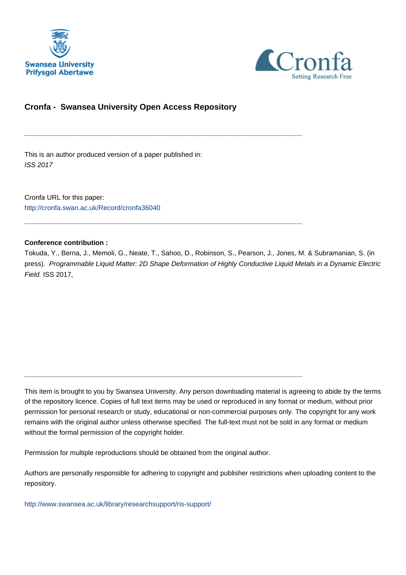



## **Cronfa - Swansea University Open Access Repository**

\_\_\_\_\_\_\_\_\_\_\_\_\_\_\_\_\_\_\_\_\_\_\_\_\_\_\_\_\_\_\_\_\_\_\_\_\_\_\_\_\_\_\_\_\_\_\_\_\_\_\_\_\_\_\_\_\_\_\_\_\_

\_\_\_\_\_\_\_\_\_\_\_\_\_\_\_\_\_\_\_\_\_\_\_\_\_\_\_\_\_\_\_\_\_\_\_\_\_\_\_\_\_\_\_\_\_\_\_\_\_\_\_\_\_\_\_\_\_\_\_\_\_

\_\_\_\_\_\_\_\_\_\_\_\_\_\_\_\_\_\_\_\_\_\_\_\_\_\_\_\_\_\_\_\_\_\_\_\_\_\_\_\_\_\_\_\_\_\_\_\_\_\_\_\_\_\_\_\_\_\_\_\_\_

This is an author produced version of a paper published in: ISS 2017

Cronfa URL for this paper: <http://cronfa.swan.ac.uk/Record/cronfa36040>

## **Conference contribution :**

Tokuda, Y., Berna, J., Memoli, G., Neate, T., Sahoo, D., Robinson, S., Pearson, J., Jones, M. & Subramanian, S. (in press). Programmable Liquid Matter: 2D Shape Deformation of Highly Conductive Liquid Metals in a Dynamic Electric Field. ISS 2017,

This item is brought to you by Swansea University. Any person downloading material is agreeing to abide by the terms of the repository licence. Copies of full text items may be used or reproduced in any format or medium, without prior permission for personal research or study, educational or non-commercial purposes only. The copyright for any work remains with the original author unless otherwise specified. The full-text must not be sold in any format or medium without the formal permission of the copyright holder.

Permission for multiple reproductions should be obtained from the original author.

Authors are personally responsible for adhering to copyright and publisher restrictions when uploading content to the repository.

[http://www.swansea.ac.uk/library/researchsupport/ris-support/](http://www.swansea.ac.uk/library/researchsupport/ris-support/ )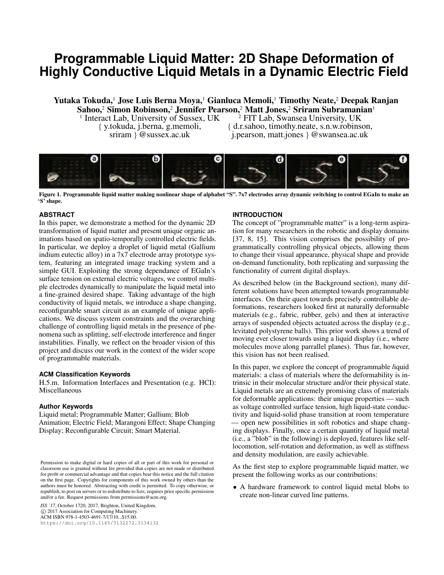# **Programmable Liquid Matter: 2D Shape Deformation of Highly Conductive Liquid Metals in a Dynamic Electric Field**

Yutaka Tokuda,<sup>1</sup> Jose Luis Berna Moya,<sup>1</sup> Gianluca Memoli,<sup>1</sup> Timothy Neate,<sup>2</sup> Deepak Ranjan Sahoo,<sup>2</sup> Simon Robinson,<sup>2</sup> Jennifer Pearson,<sup>2</sup> Matt Jones,<sup>2</sup> Sriram Subramanian<sup>1</sup><br><sup>1</sup> Interact Lab, University of Sussex, UK <sup>2</sup> FIT Lab, Swansea University, UK

 $<sup>1</sup>$  Interact Lab, University of Sussex, UK</sup>

*{* y.tokuda, j.berna, g.memoli, *{* d.r.sahoo, timothy.neate, s.n.w.robinson, sriram *}* @sussex.ac.uk j.pearson, matt.jones *}* @swansea.ac.uk



Figure 1. Programmable liquid matter making nonlinear shape of alphabet "S". 7x7 electrodes array dynamic switching to control EGaIn to make an 'S' shape.

#### **ABSTRACT**

In this paper, we demonstrate a method for the dynamic 2D transformation of liquid matter and present unique organic animations based on spatio-temporally controlled electric fields. In particular, we deploy a droplet of liquid metal (Gallium indium eutectic alloy) in a 7x7 electrode array prototype system, featuring an integrated image tracking system and a simple GUI. Exploiting the strong dependance of EGaIn's surface tension on external electric voltages, we control multiple electrodes dynamically to manipulate the liquid metal into a fine-grained desired shape. Taking advantage of the high conductivity of liquid metals, we introduce a shape changing, reconfigurable smart circuit as an example of unique applications. We discuss system constraints and the overarching challenge of controlling liquid metals in the presence of phenomena such as splitting, self-electrode interference and finger instabilities. Finally, we reflect on the broader vision of this project and discuss our work in the context of the wider scope of programmable materials.

#### **ACM Classification Keywords**

H.5.m. Information Interfaces and Presentation (e.g. HCI): Miscellaneous

#### **Author Keywords**

Liquid metal; Programmable Matter; Gallium; Blob Animation; Electric Field; Marangoni Effect; Shape Changing Display; Reconfigurable Circuit; Smart Material.

*ISS '17*, October 1720, 2017, Brighton, United Kingdom. c 2017 Association for Computing Machinery. ACM ISBN 978-1-4503-4691-7/17/10...\$15.00. https://doi.org/10.1145/3132272.3134132

#### **INTRODUCTION**

The concept of "programmable matter" is a long-term aspiration for many researchers in the robotic and display domains [37, 8, 15]. This vision comprises the possibility of programmatically controlling physical objects, allowing them to change their visual appearance, physical shape and provide on-demand functionality, both replicating and surpassing the functionality of current digital displays.

As described below (in the Background section), many different solutions have been attempted towards programmable interfaces. On their quest towards precisely controllable deformations, researchers looked first at naturally deformable materials (e.g., fabric, rubber, gels) and then at interactive arrays of suspended objects actuated across the display (e.g., levitated polystyrene balls). This prior work shows a trend of moving ever closer towards using a liquid display (i.e., where molecules move along parrallel planes). Thus far, however, this vision has not been realised.

In this paper, we explore the concept of programmable *l*iquid materials: a class of materials where the deformability is intrinsic in their molecular structure and/or their physical state. Liquid metals are an extremely promising class of materials for deformable applications: their unique properties — such as voltage controlled surface tension, high liquid-state conductivity and liquid-solid phase transition at room temperature — open new possibilities in soft robotics and shape changing displays. Finally, once a certain quantity of liquid metal (i.e., a "blob" in the following) is deployed, features like selflocomotion, self-rotation and deformation, as well as stiffness and density modulation, are easily achievable.

As the first step to explore programmable liquid matter, we present the following works as our contributions:

*•* A hardware framework to control liquid metal blobs to create non-linear curved line patterns.

Permission to make digital or hard copies of all or part of this work for personal or classroom use is granted without fee provided that copies are not made or distributed for profit or commercial advantage and that copies bear this notice and the full citation on the first page. Copyrights for components of this work owned by others than the authors must be honored. Abstracting with credit is permitted. To copy otherwise, or republish, to post on servers or to redistribute to lists, requires prior specific permission and/or a fee. Request permissions from permissions@acm.org.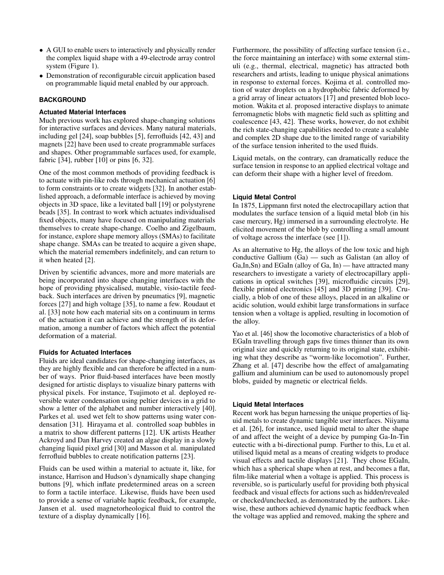- *•* A GUI to enable users to interactively and physically render the complex liquid shape with a 49-electrode array control system (Figure 1).
- *•* Demonstration of reconfigurable circuit application based on programmable liquid metal enabled by our approach.

## **BACKGROUND**

#### **Actuated Material Interfaces**

Much previous work has explored shape-changing solutions for interactive surfaces and devices. Many natural materials, including gel [24], soap bubbles [5], ferrofluids [42, 43] and magnets [22] have been used to create programmable surfaces and shapes. Other programmable surfaces used, for example, fabric [34], rubber [10] or pins [6, 32].

One of the most common methods of providing feedback is to actuate with pin-like rods through mechanical actuation [6] to form constraints or to create widgets [32]. In another established approach, a deformable interface is achieved by moving objects in 3D space, like a levitated ball [19] or polystyrene beads [35]. In contrast to work which actuates individualised fixed objects, many have focused on manipulating materials themselves to create shape-change. Coelho and Zigelbaum, for instance, explore shape memory alloys (SMAs) to facilitate shape change. SMAs can be treated to acquire a given shape, which the material remembers indefinitely, and can return to it when heated [2].

Driven by scientific advances, more and more materials are being incorporated into shape changing interfaces with the hope of providing physicalised, mutable, visio-tactile feedback. Such interfaces are driven by pneumatics [9], magnetic forces [27] and high voltage [35], to name a few. Roudaut et al. [33] note how each material sits on a continuum in terms of the actuation it can achieve and the strength of its deformation, among a number of factors which affect the potential deformation of a material.

#### **Fluids for Actuated Interfaces**

Fluids are ideal candidates for shape-changing interfaces, as they are highly flexible and can therefore be affected in a number of ways. Prior fluid-based interfaces have been mostly designed for artistic displays to visualize binary patterns with physical pixels. For instance, Tsujimoto et al. deployed reversible water condensation using peltier devices in a grid to show a letter of the alphabet and number interactively [40]. Parkes et al. used wet felt to show patterns using water condensation [31]. Hirayama et al. controlled soap bubbles in a matrix to show different patterns [12]. UK artists Heather Ackroyd and Dan Harvey created an algae display in a slowly changing liquid pixel grid [30] and Masson et al. manipulated ferrofluid bubbles to create notification patterns [23].

Fluids can be used within a material to actuate it, like, for instance, Harrison and Hudson's dynamically shape changing buttons [9], which inflate predetermined areas on a screen to form a tactile interface. Likewise, fluids have been used to provide a sense of variable haptic feedback, for example, Jansen et al. used magnetorheological fluid to control the texture of a display dynamically [16].

Furthermore, the possibility of affecting surface tension (i.e., the force maintaining an interface) with some external stimuli (e.g., thermal, electrical, magnetic) has attracted both researchers and artists, leading to unique physical animations in response to external forces. Kojima et al. controlled motion of water droplets on a hydrophobic fabric deformed by a grid array of linear actuators [17] and presented blob locomotion. Wakita et al. proposed interactive displays to animate ferromagnetic blobs with magnetic field such as splitting and coalescence [43, 42]. These works, however, do not exhibit the rich state-changing capabilities needed to create a scalable and complex 2D shape due to the limited range of variability of the surface tension inherited to the used fluids.

Liquid metals, on the contrary, can dramatically reduce the surface tension in response to an applied electrical voltage and can deform their shape with a higher level of freedom.

## **Liquid Metal Control**

In 1875, Lippmann first noted the electrocapillary action that modulates the surface tension of a liquid metal blob (in his case mercury, Hg) immersed in a surrounding electrolyte. He elicited movement of the blob by controlling a small amount of voltage across the interface (see [1]).

As an alternative to Hg, the alloys of the low toxic and high conductive Gallium (Ga) — such as Galistan (an alloy of Ga,In,Sn) and EGaIn (alloy of Ga, In) — have attracted many researchers to investigate a variety of electrocapillary applications in optical switches [39], microfluidic circuits [29], flexible printed electronics [45] and 3D printing [39]. Crucially, a blob of one of these alloys, placed in an alkaline or acidic solution, would exhibit large transformations in surface tension when a voltage is applied, resulting in locomotion of the alloy.

Yao et al. [46] show the locomotive characteristics of a blob of EGaIn travelling through gaps five times thinner than its own original size and quickly returning to its original state, exhibiting what they describe as "worm-like locomotion". Further, Zhang et al. [47] describe how the effect of amalgamating gallium and aluminium can be used to autonomously propel blobs, guided by magnetic or electrical fields.

#### **Liquid Metal Interfaces**

Recent work has begun harnessing the unique properties of liquid metals to create dynamic tangible user interfaces. Niiyama et al. [26], for instance, used liquid metal to alter the shape of and affect the weight of a device by pumping Ga-In-Tin eutectic with a bi-directional pump. Further to this, Lu et al. utilised liquid metal as a means of creating widgets to produce visual effects and tactile displays [21]. They chose EGaIn, which has a spherical shape when at rest, and becomes a flat, film-like material when a voltage is applied. This process is reversible, so is particularly useful for providing both physical feedback and visual effects for actions such as hidden/revealed or checked/unchecked, as demonstrated by the authors. Likewise, these authors achieved dynamic haptic feedback when the voltage was applied and removed, making the sphere and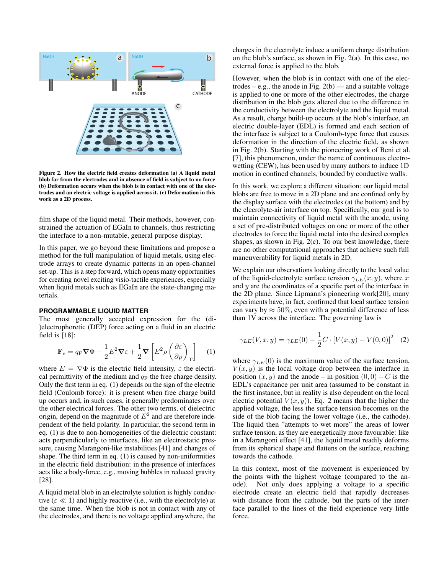

Figure 2. How the electric field creates deformation (a) A liquid metal blob far from the electrodes and in absence of field is subject to no force (b) Deformation occurs when the blob is in contact with one of the electrodes and an electric voltage is applied across it. (c) Deformation in this work as a 2D process.

film shape of the liquid metal. Their methods, however, constrained the actuation of EGaIn to channels, thus restricting the interface to a non-mutable, general purpose display.

In this paper, we go beyond these limitations and propose a method for the full manipulation of liquid metals, using electrode arrays to create dynamic patterns in an open-channel set-up. This is a step forward, which opens many opportunities for creating novel exciting visio-tactile experiences, especially when liquid metals such as EGaIn are the state-changing materials.

#### **PROGRAMMABLE LIQUID MATTER**

The most generally accepted expression for the (di- )electrophoretic (DEP) force acting on a fluid in an electric field is [18]:

$$
\mathbf{F}_{\rm e} = q_{\rm F} \mathbf{\nabla} \Phi - \frac{1}{2} E^2 \mathbf{\nabla} \varepsilon + \frac{1}{2} \mathbf{\nabla} \left[ E^2 \rho \left( \frac{\partial \varepsilon}{\partial \rho} \right)_{\rm T} \right] \tag{1}
$$

where  $E = \nabla \Phi$  is the electric field intensity,  $\varepsilon$  the electrical permittivity of the medium and  $q_F$  the free charge density. Only the first term in eq. (1) depends on the sign of the electric field (Coulomb force): it is present when free charge build up occurs and, in such cases, it generally predominates over the other electrical forces. The other two terms, of dielectric origin, depend on the magnitude of  $E<sup>2</sup>$  and are therefore independent of the field polarity. In particular, the second term in eq. (1) is due to non-homogeneities of the dielectric constant: acts perpendicularly to interfaces, like an electrostatic pressure, causing Marangoni-like instabilities [41] and changes of shape. The third term in eq. (1) is caused by non-uniformities in the electric field distribution: in the presence of interfaces acts like a body-force, e.g., moving bubbles in reduced gravity [28].

A liquid metal blob in an electrolyte solution is highly conductive ( $\epsilon \ll 1$ ) and highly reactive (i.e., with the electrolyte) at the same time. When the blob is not in contact with any of the electrodes, and there is no voltage applied anywhere, the

charges in the electrolyte induce a uniform charge distribution on the blob's surface, as shown in Fig. 2(a). In this case, no external force is applied to the blob.

However, when the blob is in contact with one of the electrodes – e.g., the anode in Fig.  $2(b)$  — and a suitable voltage is applied to one or more of the other electrodes, the charge distribution in the blob gets altered due to the difference in the conductivity between the electrolyte and the liquid metal. As a result, charge build-up occurs at the blob's interface, an electric double-layer (EDL) is formed and each section of the interface is subject to a Coulomb-type force that causes deformation in the direction of the electric field, as shown in Fig. 2(b). Starting with the pioneering work of Beni et al. [7], this phenomenon, under the name of continuous electrowetting (CEW), has been used by many authors to induce 1D motion in confined channels, bounded by conductive walls.

In this work, we explore a different situation: our liquid metal blobs are free to move in a 2D plane and are confined only by the display surface with the electrodes (at the bottom) and by the elecrolyte-air interface on top. Specifically, our goal is to maintain connectivity of liquid metal with the anode, using a set of pre-distributed voltages on one or more of the other electrodes to force the liquid metal into the desired complex shapes, as shown in Fig. 2(c). To our best knowledge, there are no other computational approaches that achieve such full maneuverability for liquid metals in 2D.

We explain our observations looking directly to the local value of the liquid-electrolyte surface tension  $\gamma_{LE}(x, y)$ , where *x* and *y* are the coordinates of a specific part of the interface in the 2D plane. Since Lipmann's pioneering work[20], many experiments have, in fact, confirmed that local surface tension can vary by  $\approx 50\%$ , even with a potential difference of less than 1V across the interface. The governing law is

$$
\gamma_{LE}(V, x, y) = \gamma_{LE}(0) - \frac{1}{2}C \cdot [V(x, y) - V(0, 0)]^2 \quad (2)
$$

where  $\gamma_{LE}(0)$  is the maximum value of the surface tension,  $V(x, y)$  is the local voltage drop between the interface in position  $(x, y)$  and the anode – in position  $(0, 0)$  – C is the EDL's capacitance per unit area (assumed to be constant in the first instance, but in reality is also dependent on the local electric potential  $V(x, y)$ ). Eq. 2 means that the higher the applied voltage, the less the surface tension becomes on the side of the blob facing the lower voltage (i.e., the cathode). The liquid then "attempts to wet more" the areas of lower surface tension, as they are energetically more favourable: like in a Marangoni effect [41], the liquid metal readily deforms from its spherical shape and flattens on the surface, reaching towards the cathode.

In this context, most of the movement is experienced by the points with the highest voltage (compared to the anode). Not only does applying a voltage to a specific electrode create an electric field that rapidly decreases with distance from the cathode, but the parts of the interface parallel to the lines of the field experience very little force.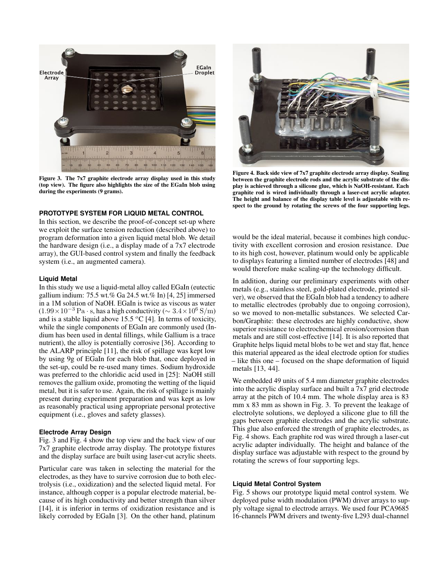

Figure 3. The 7x7 graphite electrode array display used in this study (top view). The figure also highlights the size of the EGaIn blob using during the experiments (9 grams).

#### **PROTOTYPE SYSTEM FOR LIQUID METAL CONTROL**

In this section, we describe the proof-of-concept set-up where we exploit the surface tension reduction (described above) to program deformation into a given liquid metal blob. We detail the hardware design (i.e., a display made of a 7x7 electrode array), the GUI-based control system and finally the feedback system (*i.e.*, an augmented camera).

#### **Liquid Metal**

In this study we use a liquid-metal alloy called EGaIn (eutectic gallium indium: 75.5 wt.% Ga 24.5 wt.% In) [4, 25] immersed in a 1M solution of NaOH. EGaIn is twice as viscous as water  $(1.99 \times 10^{-3}$  Pa  $\cdot$  s, has a high conductivity ( $\sim 3.4 \times 10^6$  S/m) and is a stable liquid above 15.5 *<sup>o</sup>*C [4]. In terms of toxicity, while the single components of EGaIn are commonly used (Indium has been used in dental fillings, while Gallium is a trace nutrient), the alloy is potentially corrosive [36]. According to the ALARP principle [11], the risk of spillage was kept low by using 9g of EGaIn for each blob that, once deployed in the set-up, could be re-used many times. Sodium hydroxide was preferred to the chloridic acid used in [25]: NaOH still removes the gallium oxide, promoting the wetting of the liquid metal, but it is safer to use. Again, the risk of spillage is mainly present during experiment preparation and was kept as low as reasonably practical using appropriate personal protective equipment (i.e., gloves and safety glasses).

#### **Electrode Array Design**

Fig. 3 and Fig. 4 show the top view and the back view of our 7x7 graphite electrode array display. The prototype fixtures and the display surface are built using laser-cut acrylic sheets.

Particular care was taken in selecting the material for the electrodes, as they have to survive corrosion due to both electrolysis (i.e., oxidization) and the selected liquid metal. For instance, although copper is a popular electrode material, because of its high conductivity and better strength than silver [14], it is inferior in terms of oxidization resistance and is likely corroded by EGaIn [3]. On the other hand, platinum



Figure 4. Back side view of 7x7 graphite electrode array display. Sealing between the graphite electrode rods and the acrylic substrate of the display is achieved through a silicone glue, which is NaOH-resistant. Each graphite rod is wired individually through a laser-cut acrylic adapter. The height and balance of the display table level is adjustable with respect to the ground by rotating the screws of the four supporting legs.

would be the ideal material, because it combines high conductivity with excellent corrosion and erosion resistance. Due to its high cost, however, platinum would only be applicable to displays featuring a limited number of electrodes [48] and would therefore make scaling-up the technology difficult.

In addition, during our preliminary experiments with other metals (e.g., stainless steel, gold-plated electrode, printed silver), we observed that the EGaIn blob had a tendency to adhere to metallic electrodes (probably due to ongoing corrosion), so we moved to non-metallic substances. We selected Carbon/Graphite: these electrodes are highly conductive, show superior resistance to electrochemical erosion/corrosion than metals and are still cost-effective [14]. It is also reported that Graphite helps liquid metal blobs to be wet and stay flat, hence this material appeared as the ideal electrode option for studies – like this one – focused on the shape deformation of liquid metals [13, 44].

We embedded 49 units of 5.4 mm diameter graphite electrodes into the acrylic display surface and built a 7x7 grid electrode array at the pitch of 10.4 mm. The whole display area is 83 mm x 83 mm as shown in Fig. 3. To prevent the leakage of electrolyte solutions, we deployed a silicone glue to fill the gaps between graphite electrodes and the acrylic substrate. This glue also enforced the strength of graphite electrodes, as Fig. 4 shows. Each graphite rod was wired through a laser-cut acrylic adapter individually. The height and balance of the display surface was adjustable with respect to the ground by rotating the screws of four supporting legs.

#### **Liquid Metal Control System**

Fig. 5 shows our prototype liquid metal control system. We deployed pulse width modulation (PWM) driver arrays to supply voltage signal to electrode arrays. We used four PCA9685 16-channels PWM drivers and twenty-five L293 dual-channel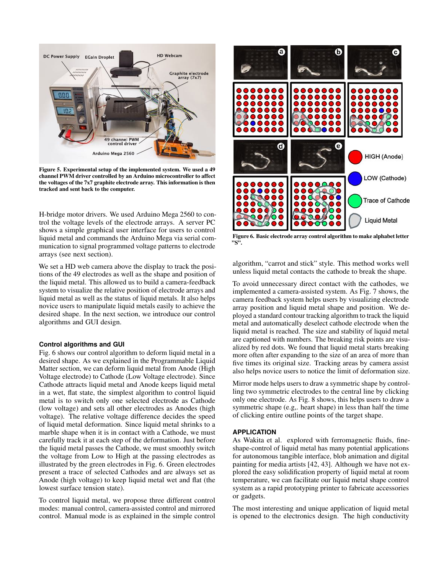

Figure 5. Experimental setup of the implemented system. We used a 49 channel PWM driver controlled by an Arduino microcontroller to affect the voltages of the 7x7 graphite electrode array. This information is then tracked and sent back to the computer.

H-bridge motor drivers. We used Arduino Mega 2560 to control the voltage levels of the electrode arrays. A server PC shows a simple graphical user interface for users to control liquid metal and commands the Arduino Mega via serial communication to signal programmed voltage patterns to electrode arrays (see next section).

We set a HD web camera above the display to track the positions of the 49 electrodes as well as the shape and position of the liquid metal. This allowed us to build a camera-feedback system to visualize the relative position of electrode arrays and liquid metal as well as the status of liquid metals. It also helps novice users to manipulate liquid metals easily to achieve the desired shape. In the next section, we introduce our control algorithms and GUI design.

#### **Control algorithms and GUI**

Fig. 6 shows our control algorithm to deform liquid metal in a desired shape. As we explained in the Programmable Liquid Matter section, we can deform liquid metal from Anode (High Voltage electrode) to Cathode (Low Voltage electrode). Since Cathode attracts liquid metal and Anode keeps liquid metal in a wet, flat state, the simplest algorithm to control liquid metal is to switch only one selected electrode as Cathode (low voltage) and sets all other electrodes as Anodes (high voltage). The relative voltage difference decides the speed of liquid metal deformation. Since liquid metal shrinks to a marble shape when it is in contact with a Cathode, we must carefully track it at each step of the deformation. Just before the liquid metal passes the Cathode, we must smoothly switch the voltage from Low to High at the passing electrodes as illustrated by the green electrodes in Fig. 6. Green electrodes present a trace of selected Cathodes and are always set as Anode (high voltage) to keep liquid metal wet and flat (the lowest surface tension state).

To control liquid metal, we propose three different control modes: manual control, camera-assisted control and mirrored control. Manual mode is as explained in the simple control



Figure 6. Basic electrode array control algorithm to make alphabet letter "S".

algorithm, "carrot and stick" style. This method works well unless liquid metal contacts the cathode to break the shape.

To avoid unnecessary direct contact with the cathodes, we implemented a camera-assisted system. As Fig. 7 shows, the camera feedback system helps users by visualizing electrode array position and liquid metal shape and position. We deployed a standard contour tracking algorithm to track the liquid metal and automatically deselect cathode electrode when the liquid metal is reached. The size and stability of liquid metal are captioned with numbers. The breaking risk points are visualized by red dots. We found that liquid metal starts breaking more often after expanding to the size of an area of more than five times its original size. Tracking areas by camera assist also helps novice users to notice the limit of deformation size.

Mirror mode helps users to draw a symmetric shape by controlling two symmetric electrodes to the central line by clicking only one electrode. As Fig. 8 shows, this helps users to draw a symmetric shape (e.g,. heart shape) in less than half the time of clicking entire outline points of the target shape.

### **APPLICATION**

As Wakita et al. explored with ferromagnetic fluids, fineshape-control of liquid metal has many potential applications for autonomous tangible interface, blob animation and digital painting for media artists [42, 43]. Although we have not explored the easy solidification property of liquid metal at room temperature, we can facilitate our liquid metal shape control system as a rapid prototyping printer to fabricate accessories or gadgets.

The most interesting and unique application of liquid metal is opened to the electronics design. The high conductivity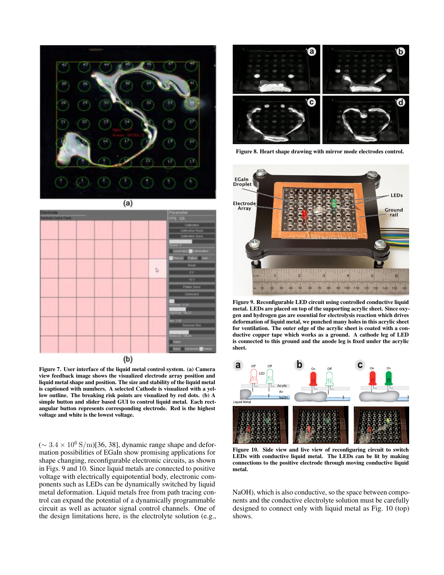

 $(a)$ 



Figure 7. User interface of the liquid metal control system. (a) Camera view feedback image shows the visualized electrode array position and liquid metal shape and position. The size and stability of the liquid metal is captioned with numbers. A selected Cathode is visualized with a yellow outline. The breaking risk points are visualized by red dots. (b) A simple button and slider based GUI to control liquid metal. Each rectangular button represents corresponding electrode. Red is the highest voltage and white is the lowest voltage.

 $({\sim 3.4 \times 10^6 \,\mathrm{S/m}})$ [36, 38], dynamic range shape and deformation possibilities of EGaIn show promising applications for shape changing, reconfigurable electronic circuits, as shown in Figs. 9 and 10. Since liquid metals are connected to positive voltage with electrically equipotential body, electronic components such as LEDs can be dynamically switched by liquid metal deformation. Liquid metals free from path tracing control can expand the potential of a dynamically programmable circuit as well as actuator signal control channels. One of the design limitations here, is the electrolyte solution (e.g.,



Figure 8. Heart shape drawing with mirror mode electrodes control.



Figure 9. Reconfigurable LED circuit using controlled conductive liquid metal. LEDs are placed on top of the supporting acrylic sheet. Since oxygen and hydrogen gas are essential for electrolysis reaction which drives deformation of liquid metal, we punched many holes in this acrylic sheet for ventilation. The outer edge of the acrylic sheet is coated with a conductive copper tape which works as a ground. A cathode leg of LED is connected to this ground and the anode leg is fixed under the acrylic sheet.



Figure 10. Side view and live view of reconfiguring circuit to switch LEDs with conductive liquid metal. The LEDs can be lit by making connections to the positive electrode through moving conductive liquid metal.

NaOH), which is also conductive, so the space between components and the conductive electrolyte solution must be carefully designed to connect only with liquid metal as Fig. 10 (top) shows.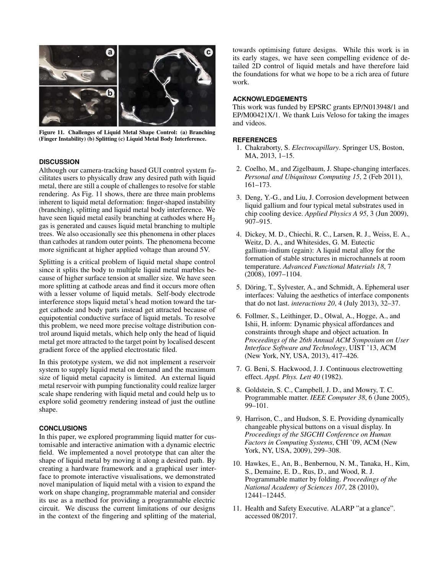

Figure 11. Challenges of Liquid Metal Shape Control: (a) Branching (Finger Instability) (b) Splitting (c) Liquid Metal Body Interference.

#### **DISCUSSION**

Although our camera-tracking based GUI control system facilitates users to physically draw any desired path with liquid metal, there are still a couple of challenges to resolve for stable rendering. As Fig. 11 shows, there are three main problems inherent to liquid metal deformation: finger-shaped instability (branching), splitting and liquid metal body interference. We have seen liquid metal easily branching at cathodes where  $H_2$ gas is generated and causes liquid metal branching to multiple trees. We also occasionally see this phenomena in other places than cathodes at random outer points. The phenomena become more significant at higher applied voltage than around 5V.

Splitting is a critical problem of liquid metal shape control since it splits the body to multiple liquid metal marbles because of higher surface tension at smaller size. We have seen more splitting at cathode areas and find it occurs more often with a lesser volume of liquid metals. Self-body electrode interference stops liquid metal's head motion toward the target cathode and body parts instead get attracted because of equipotential conductive surface of liquid metals. To resolve this problem, we need more precise voltage distribution control around liquid metals, which help only the head of liquid metal get more attracted to the target point by localised descent gradient force of the applied electrostatic filed.

In this prototype system, we did not implement a reservoir system to supply liquid metal on demand and the maximum size of liquid metal capacity is limited. An external liquid metal reservoir with pumping functionality could realize larger scale shape rendering with liquid metal and could help us to explore solid geometry rendering instead of just the outline shape.

#### **CONCLUSIONS**

In this paper, we explored programming liquid matter for customisable and interactive animation with a dynamic electric field. We implemented a novel prototype that can alter the shape of liquid metal by moving it along a desired path. By creating a hardware framework and a graphical user interface to promote interactive visualisations, we demonstrated novel manipulation of liquid metal with a vision to expand the work on shape changing, programmable material and consider its use as a method for providing a programmable electric circuit. We discuss the current limitations of our designs in the context of the fingering and splitting of the material, towards optimising future designs. While this work is in its early stages, we have seen compelling evidence of detailed 2D control of liquid metals and have therefore laid the foundations for what we hope to be a rich area of future work.

#### **ACKNOWLEDGEMENTS**

This work was funded by EPSRC grants EP/N013948/1 and EP/M00421X/1. We thank Luis Veloso for taking the images and videos.

#### **REFERENCES**

- 1. Chakraborty, S. *Electrocapillary*. Springer US, Boston, MA, 2013, 1–15.
- 2. Coelho, M., and Zigelbaum, J. Shape-changing interfaces. *Personal and Ubiquitous Computing 15*, 2 (Feb 2011), 161–173.
- 3. Deng, Y.-G., and Liu, J. Corrosion development between liquid gallium and four typical metal substrates used in chip cooling device. *Applied Physics A 95*, 3 (Jun 2009), 907–915.
- 4. Dickey, M. D., Chiechi, R. C., Larsen, R. J., Weiss, E. A., Weitz, D. A., and Whitesides, G. M. Eutectic gallium-indium (egain): A liquid metal alloy for the formation of stable structures in microchannels at room temperature. *Advanced Functional Materials 18*, 7 (2008), 1097–1104.
- 5. Döring, T., Sylvester, A., and Schmidt, A. Ephemeral user interfaces: Valuing the aesthetics of interface components that do not last. *interactions 20*, 4 (July 2013), 32–37.
- 6. Follmer, S., Leithinger, D., Olwal, A., Hogge, A., and Ishii, H. inform: Dynamic physical affordances and constraints through shape and object actuation. In *Proceedings of the 26th Annual ACM Symposium on User Interface Software and Technology*, UIST '13, ACM (New York, NY, USA, 2013), 417–426.
- 7. G. Beni, S. Hackwood, J. J. Continuous electrowetting effect. *Appl. Phys. Lett 40* (1982).
- 8. Goldstein, S. C., Campbell, J. D., and Mowry, T. C. Programmable matter. *IEEE Computer 38*, 6 (June 2005), 99–101.
- 9. Harrison, C., and Hudson, S. E. Providing dynamically changeable physical buttons on a visual display. In *Proceedings of the SIGCHI Conference on Human Factors in Computing Systems*, CHI '09, ACM (New York, NY, USA, 2009), 299–308.
- 10. Hawkes, E., An, B., Benbernou, N. M., Tanaka, H., Kim, S., Demaine, E. D., Rus, D., and Wood, R. J. Programmable matter by folding. *Proceedings of the National Academy of Sciences 107*, 28 (2010), 12441–12445.
- 11. Health and Safety Executive. ALARP "at a glance". accessed 08/2017.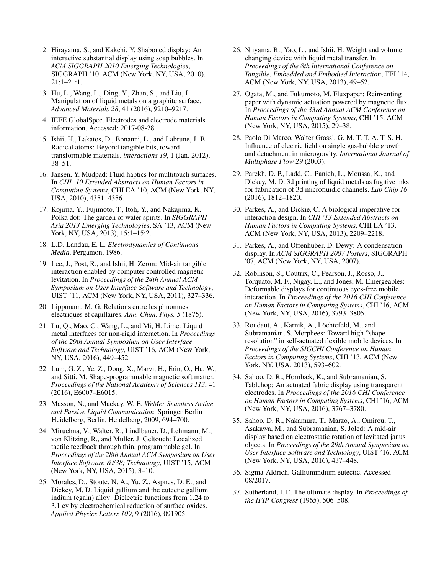- 12. Hirayama, S., and Kakehi, Y. Shaboned display: An interactive substantial display using soap bubbles. In *ACM SIGGRAPH 2010 Emerging Technologies*, SIGGRAPH '10, ACM (New York, NY, USA, 2010), 21:1–21:1.
- 13. Hu, L., Wang, L., Ding, Y., Zhan, S., and Liu, J. Manipulation of liquid metals on a graphite surface. *Advanced Materials 28*, 41 (2016), 9210–9217.
- 14. IEEE GlobalSpec. Electrodes and electrode materials information. Accessed: 2017-08-28.
- 15. Ishii, H., Lakatos, D., Bonanni, L., and Labrune, J.-B. Radical atoms: Beyond tangible bits, toward transformable materials. *interactions 19*, 1 (Jan. 2012), 38–51.
- 16. Jansen, Y. Mudpad: Fluid haptics for multitouch surfaces. In *CHI '10 Extended Abstracts on Human Factors in Computing Systems*, CHI EA '10, ACM (New York, NY, USA, 2010), 4351–4356.
- 17. Kojima, Y., Fujimoto, T., Itoh, Y., and Nakajima, K. Polka dot: The garden of water spirits. In *SIGGRAPH Asia 2013 Emerging Technologies*, SA '13, ACM (New York, NY, USA, 2013), 15:1–15:2.
- 18. L.D. Landau, E. L. *Electrodynamics of Continuous Media*. Pergamon, 1986.
- 19. Lee, J., Post, R., and Ishii, H. Zeron: Mid-air tangible interaction enabled by computer controlled magnetic levitation. In *Proceedings of the 24th Annual ACM Symposium on User Interface Software and Technology*, UIST '11, ACM (New York, NY, USA, 2011), 327–336.
- 20. Lippmann, M. G. Relations entre les phnomnes electriques et capillaires. *Ann. Chim. Phys. 5* (1875).
- 21. Lu, Q., Mao, C., Wang, L., and Mi, H. Lime: Liquid metal interfaces for non-rigid interaction. In *Proceedings of the 29th Annual Symposium on User Interface Software and Technology*, UIST '16, ACM (New York, NY, USA, 2016), 449–452.
- 22. Lum, G. Z., Ye, Z., Dong, X., Marvi, H., Erin, O., Hu, W., and Sitti, M. Shape-programmable magnetic soft matter. *Proceedings of the National Academy of Sciences 113*, 41 (2016), E6007–E6015.
- 23. Masson, N., and Mackay, W. E. *WeMe: Seamless Active and Passive Liquid Communication*. Springer Berlin Heidelberg, Berlin, Heidelberg, 2009, 694–700.
- 24. Miruchna, V., Walter, R., Lindlbauer, D., Lehmann, M., von Klitzing, R., and Müller, J. Geltouch: Localized tactile feedback through thin, programmable gel. In *Proceedings of the 28th Annual ACM Symposium on User Interface Software & Technology*, UIST '15, ACM (New York, NY, USA, 2015), 3–10.
- 25. Morales, D., Stoute, N. A., Yu, Z., Aspnes, D. E., and Dickey, M. D. Liquid gallium and the eutectic gallium indium (egain) alloy: Dielectric functions from 1.24 to 3.1 ev by electrochemical reduction of surface oxides. *Applied Physics Letters 109*, 9 (2016), 091905.
- 26. Niiyama, R., Yao, L., and Ishii, H. Weight and volume changing device with liquid metal transfer. In *Proceedings of the 8th International Conference on Tangible, Embedded and Embodied Interaction*, TEI '14, ACM (New York, NY, USA, 2013), 49–52.
- 27. Ogata, M., and Fukumoto, M. Fluxpaper: Reinventing paper with dynamic actuation powered by magnetic flux. In *Proceedings of the 33rd Annual ACM Conference on Human Factors in Computing Systems*, CHI '15, ACM (New York, NY, USA, 2015), 29–38.
- 28. Paolo Di Marco, Walter Grassi, G. M. T. T. A. T. S. H. Influence of electric field on single gas-bubble growth and detachment in microgravity. *International Journal of Multiphase Flow 29* (2003).
- 29. Parekh, D. P., Ladd, C., Panich, L., Moussa, K., and Dickey, M. D. 3d printing of liquid metals as fugitive inks for fabrication of 3d microfluidic channels. *Lab Chip 16* (2016), 1812–1820.
- 30. Parkes, A., and Dickie, C. A biological imperative for interaction design. In *CHI '13 Extended Abstracts on Human Factors in Computing Systems*, CHI EA '13, ACM (New York, NY, USA, 2013), 2209–2218.
- 31. Parkes, A., and Offenhuber, D. Dewy: A condensation display. In *ACM SIGGRAPH 2007 Posters*, SIGGRAPH '07, ACM (New York, NY, USA, 2007).
- 32. Robinson, S., Coutrix, C., Pearson, J., Rosso, J., Torquato, M. F., Nigay, L., and Jones, M. Emergeables: Deformable displays for continuous eyes-free mobile interaction. In *Proceedings of the 2016 CHI Conference on Human Factors in Computing Systems*, CHI '16, ACM (New York, NY, USA, 2016), 3793–3805.
- 33. Roudaut, A., Karnik, A., Löchtefeld, M., and Subramanian, S. Morphees: Toward high "shape resolution" in self-actuated flexible mobile devices. In *Proceedings of the SIGCHI Conference on Human Factors in Computing Systems*, CHI '13, ACM (New York, NY, USA, 2013), 593–602.
- 34. Sahoo, D. R., Hornbæk, K., and Subramanian, S. Tablehop: An actuated fabric display using transparent electrodes. In *Proceedings of the 2016 CHI Conference on Human Factors in Computing Systems*, CHI '16, ACM (New York, NY, USA, 2016), 3767–3780.
- 35. Sahoo, D. R., Nakamura, T., Marzo, A., Omirou, T., Asakawa, M., and Subramanian, S. Joled: A mid-air display based on electrostatic rotation of levitated janus objects. In *Proceedings of the 29th Annual Symposium on User Interface Software and Technology*, UIST '16, ACM (New York, NY, USA, 2016), 437–448.
- 36. Sigma-Aldrich. Galliumindium eutectic. Accessed 08/2017.
- 37. Sutherland, I. E. The ultimate display. In *Proceedings of the IFIP Congress* (1965), 506–508.